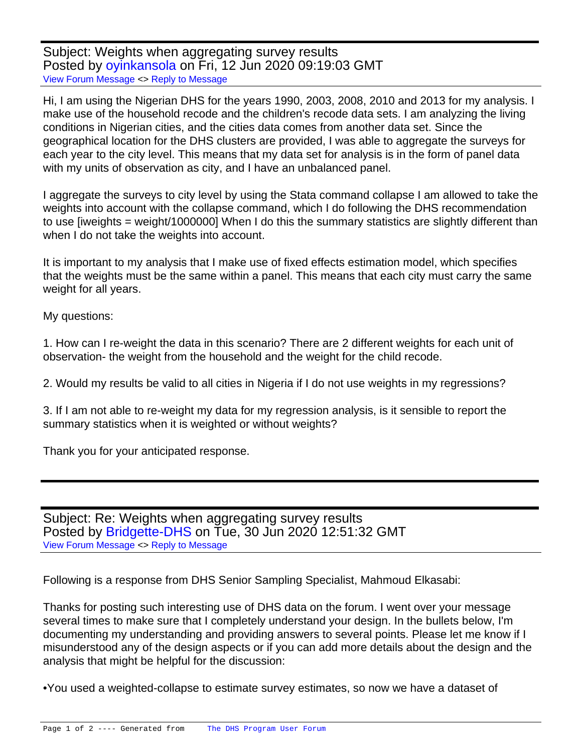Subject: Weights when aggregating survey results Posted by ovinkansola on Fri, 12 Jun 2020 09:19:03 GMT [View Forum Message](https://userforum.dhsprogram.com/index.php?t=rview&th=8971&goto=19408#msg_19408) <> [Reply to Message](https://userforum.dhsprogram.com/index.php?t=post&reply_to=19408)

Hi, I am using the Nigerian DHS for the years 1990, 2003, 2008, 2010 and 2013 for my analysis. I make use of the household recode and the children's recode data sets. I am analyzing the living conditions in Nigerian cities, and the cities data comes from another data set. Since the geographical location for the DHS clusters are provided, I was able to aggregate the surveys for each year to the city level. This means that my data set for analysis is in the form of panel data with my units of observation as city, and I have an unbalanced panel.

I aggregate the surveys to city level by using the Stata command collapse I am allowed to take the weights into account with the collapse command, which I do following the DHS recommendation to use [iweights = weight/1000000] When I do this the summary statistics are slightly different than when I do not take the weights into account.

It is important to my analysis that I make use of fixed effects estimation model, which specifies that the weights must be the same within a panel. This means that each city must carry the same weight for all years.

My questions:

1. How can I re-weight the data in this scenario? There are 2 different weights for each unit of observation- the weight from the household and the weight for the child recode.

2. Would my results be valid to all cities in Nigeria if I do not use weights in my regressions?

3. If I am not able to re-weight my data for my regression analysis, is it sensible to report the summary statistics when it is weighted or without weights?

Thank you for your anticipated response.

Subject: Re: Weights when aggregating survey results Posted by [Bridgette-DHS](https://userforum.dhsprogram.com/index.php?t=usrinfo&id=11) on Tue, 30 Jun 2020 12:51:32 GMT [View Forum Message](https://userforum.dhsprogram.com/index.php?t=rview&th=8971&goto=19480#msg_19480) <> [Reply to Message](https://userforum.dhsprogram.com/index.php?t=post&reply_to=19480)

Following is a response from DHS Senior Sampling Specialist, Mahmoud Elkasabi:

Thanks for posting such interesting use of DHS data on the forum. I went over your message several times to make sure that I completely understand your design. In the bullets below, I'm documenting my understanding and providing answers to several points. Please let me know if I misunderstood any of the design aspects or if you can add more details about the design and the analysis that might be helpful for the discussion:

• You used a weighted-collapse to estimate survey estimates, so now we have a dataset of